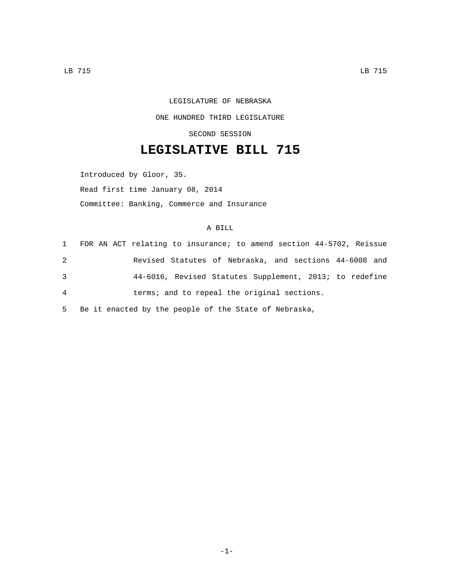## LEGISLATURE OF NEBRASKA ONE HUNDRED THIRD LEGISLATURE SECOND SESSION

## **LEGISLATIVE BILL 715**

Introduced by Gloor, 35. Read first time January 08, 2014 Committee: Banking, Commerce and Insurance

## A BILL

| 1 | FOR AN ACT relating to insurance; to amend section 44-5702, Reissue |
|---|---------------------------------------------------------------------|
| 2 | Revised Statutes of Nebraska, and sections 44-6008 and              |
| 3 | 44-6016, Revised Statutes Supplement, 2013; to redefine             |
| 4 | terms; and to repeal the original sections.                         |

5 Be it enacted by the people of the State of Nebraska,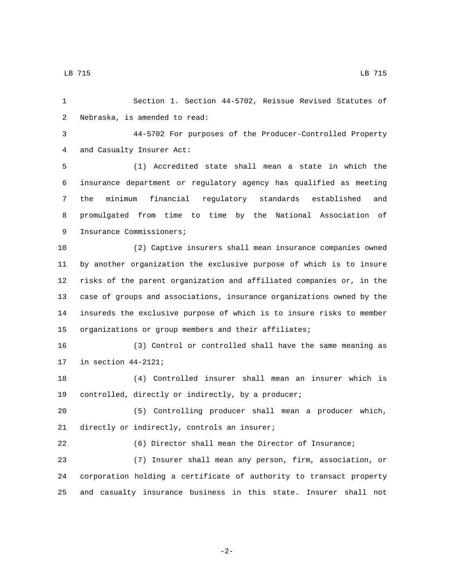LB 715 LB 715

 Section 1. Section 44-5702, Reissue Revised Statutes of 2 Nebraska, is amended to read: 44-5702 For purposes of the Producer-Controlled Property 4 and Casualty Insurer Act: (1) Accredited state shall mean a state in which the insurance department or regulatory agency has qualified as meeting the minimum financial regulatory standards established and promulgated from time to time by the National Association of 9 Insurance Commissioners; (2) Captive insurers shall mean insurance companies owned

 by another organization the exclusive purpose of which is to insure risks of the parent organization and affiliated companies or, in the case of groups and associations, insurance organizations owned by the insureds the exclusive purpose of which is to insure risks to member organizations or group members and their affiliates;

 (3) Control or controlled shall have the same meaning as 17 in section  $44-2121$ ;

 (4) Controlled insurer shall mean an insurer which is controlled, directly or indirectly, by a producer;

 (5) Controlling producer shall mean a producer which, 21 directly or indirectly, controls an insurer;

 (6) Director shall mean the Director of Insurance; (7) Insurer shall mean any person, firm, association, or

 corporation holding a certificate of authority to transact property and casualty insurance business in this state. Insurer shall not

-2-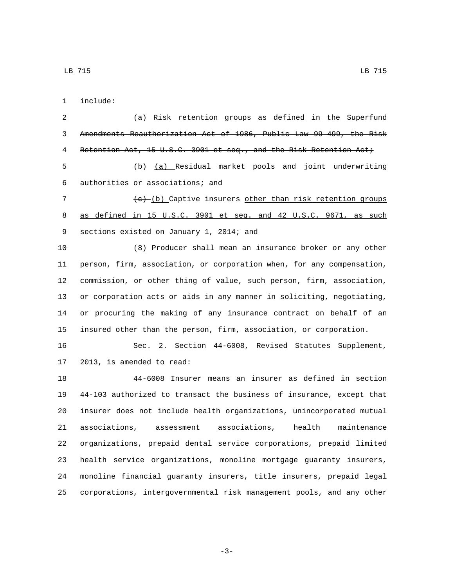include:1

 $(a)$  Risk retention groups as defined in the Superfund Amendments Reauthorization Act of 1986, Public Law 99-499, the Risk 4 Retention Act, 15 U.S.C. 3901 et seq., and the Risk Retention Act; 5 (b) (a) Residual market pools and joint underwriting authorities or associations; and6 7 (c) (b) Captive insurers other than risk retention groups as defined in 15 U.S.C. 3901 et seq. and 42 U.S.C. 9671, as such 9 sections existed on January 1, 2014; and (8) Producer shall mean an insurance broker or any other person, firm, association, or corporation when, for any compensation, commission, or other thing of value, such person, firm, association, or corporation acts or aids in any manner in soliciting, negotiating, or procuring the making of any insurance contract on behalf of an insured other than the person, firm, association, or corporation. Sec. 2. Section 44-6008, Revised Statutes Supplement, 17 2013, is amended to read: 44-6008 Insurer means an insurer as defined in section 44-103 authorized to transact the business of insurance, except that insurer does not include health organizations, unincorporated mutual associations, assessment associations, health maintenance organizations, prepaid dental service corporations, prepaid limited health service organizations, monoline mortgage guaranty insurers, monoline financial guaranty insurers, title insurers, prepaid legal corporations, intergovernmental risk management pools, and any other

LB 715 LB 715

-3-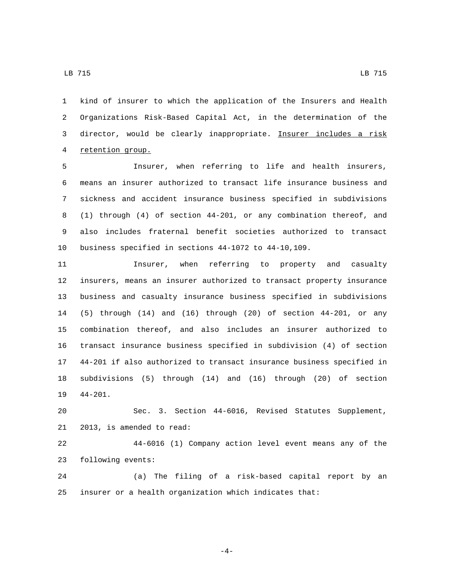LB 715 LB 715

 kind of insurer to which the application of the Insurers and Health Organizations Risk-Based Capital Act, in the determination of the director, would be clearly inappropriate. Insurer includes a risk 4 retention group.

 Insurer, when referring to life and health insurers, means an insurer authorized to transact life insurance business and sickness and accident insurance business specified in subdivisions (1) through (4) of section 44-201, or any combination thereof, and also includes fraternal benefit societies authorized to transact business specified in sections 44-1072 to 44-10,109.

 Insurer, when referring to property and casualty insurers, means an insurer authorized to transact property insurance business and casualty insurance business specified in subdivisions (5) through (14) and (16) through (20) of section 44-201, or any combination thereof, and also includes an insurer authorized to transact insurance business specified in subdivision (4) of section 44-201 if also authorized to transact insurance business specified in subdivisions (5) through (14) and (16) through (20) of section 19 44-201.

 Sec. 3. Section 44-6016, Revised Statutes Supplement, 21 2013, is amended to read:

 44-6016 (1) Company action level event means any of the 23 following events:

 (a) The filing of a risk-based capital report by an insurer or a health organization which indicates that:

-4-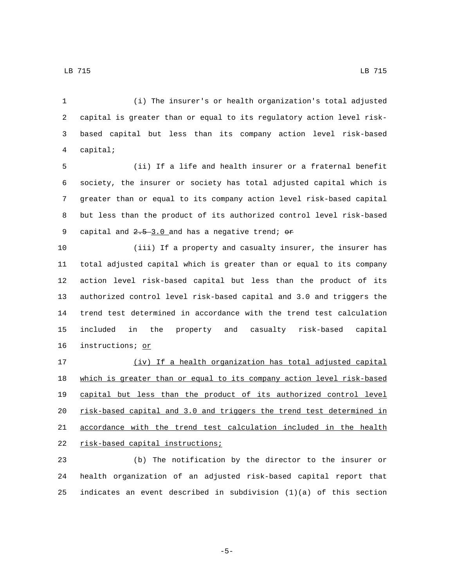(i) The insurer's or health organization's total adjusted capital is greater than or equal to its regulatory action level risk- based capital but less than its company action level risk-based capital;4

 (ii) If a life and health insurer or a fraternal benefit society, the insurer or society has total adjusted capital which is greater than or equal to its company action level risk-based capital but less than the product of its authorized control level risk-based 9 capital and  $2.5-3.0$  and has a negative trend;  $\sigma$ 

 (iii) If a property and casualty insurer, the insurer has total adjusted capital which is greater than or equal to its company action level risk-based capital but less than the product of its authorized control level risk-based capital and 3.0 and triggers the trend test determined in accordance with the trend test calculation included in the property and casualty risk-based capital 16 instructions; or

 (iv) If a health organization has total adjusted capital which is greater than or equal to its company action level risk-based capital but less than the product of its authorized control level risk-based capital and 3.0 and triggers the trend test determined in accordance with the trend test calculation included in the health 22 risk-based capital instructions;

 (b) The notification by the director to the insurer or health organization of an adjusted risk-based capital report that indicates an event described in subdivision (1)(a) of this section

-5-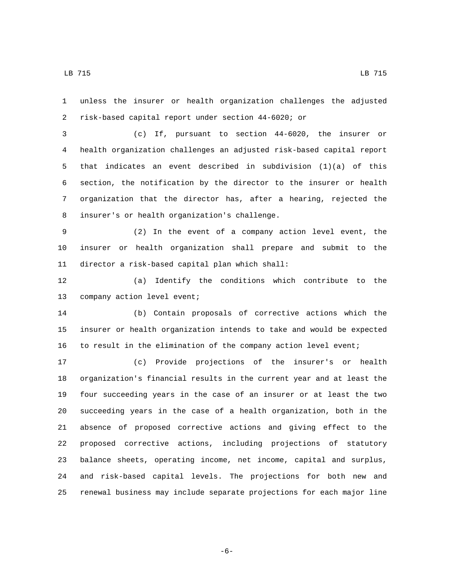unless the insurer or health organization challenges the adjusted risk-based capital report under section 44-6020; or

 (c) If, pursuant to section 44-6020, the insurer or health organization challenges an adjusted risk-based capital report that indicates an event described in subdivision (1)(a) of this section, the notification by the director to the insurer or health organization that the director has, after a hearing, rejected the 8 insurer's or health organization's challenge.

 (2) In the event of a company action level event, the insurer or health organization shall prepare and submit to the 11 director a risk-based capital plan which shall:

 (a) Identify the conditions which contribute to the 13 company action level event;

 (b) Contain proposals of corrective actions which the insurer or health organization intends to take and would be expected to result in the elimination of the company action level event;

 (c) Provide projections of the insurer's or health organization's financial results in the current year and at least the four succeeding years in the case of an insurer or at least the two succeeding years in the case of a health organization, both in the absence of proposed corrective actions and giving effect to the proposed corrective actions, including projections of statutory balance sheets, operating income, net income, capital and surplus, and risk-based capital levels. The projections for both new and renewal business may include separate projections for each major line

-6-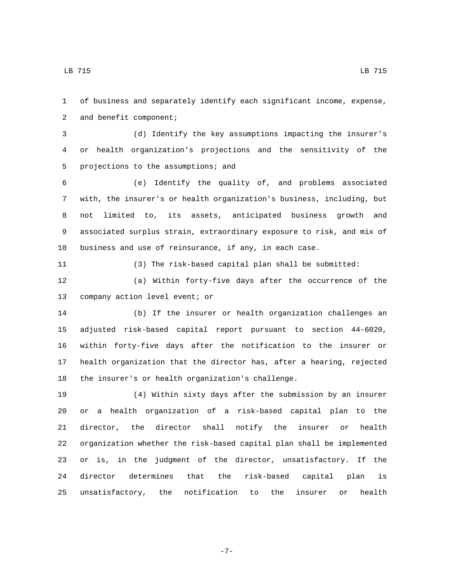of business and separately identify each significant income, expense, 2 and benefit component;

 (d) Identify the key assumptions impacting the insurer's or health organization's projections and the sensitivity of the 5 projections to the assumptions; and

 (e) Identify the quality of, and problems associated with, the insurer's or health organization's business, including, but not limited to, its assets, anticipated business growth and associated surplus strain, extraordinary exposure to risk, and mix of business and use of reinsurance, if any, in each case.

(3) The risk-based capital plan shall be submitted:

 (a) Within forty-five days after the occurrence of the 13 company action level event; or

 (b) If the insurer or health organization challenges an adjusted risk-based capital report pursuant to section 44-6020, within forty-five days after the notification to the insurer or health organization that the director has, after a hearing, rejected 18 the insurer's or health organization's challenge.

 (4) Within sixty days after the submission by an insurer or a health organization of a risk-based capital plan to the director, the director shall notify the insurer or health organization whether the risk-based capital plan shall be implemented or is, in the judgment of the director, unsatisfactory. If the director determines that the risk-based capital plan is unsatisfactory, the notification to the insurer or health

-7-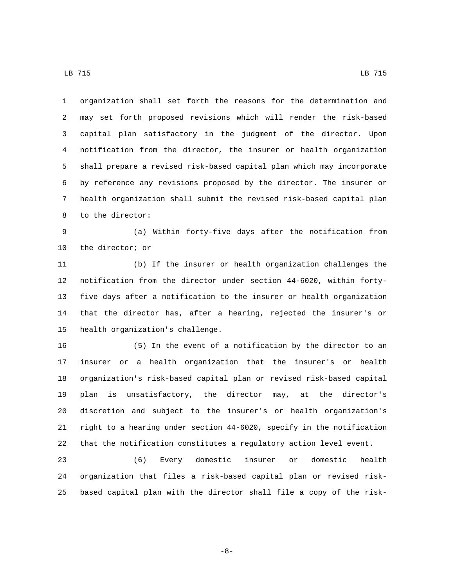organization shall set forth the reasons for the determination and may set forth proposed revisions which will render the risk-based capital plan satisfactory in the judgment of the director. Upon notification from the director, the insurer or health organization shall prepare a revised risk-based capital plan which may incorporate by reference any revisions proposed by the director. The insurer or health organization shall submit the revised risk-based capital plan 8 to the director:

 (a) Within forty-five days after the notification from 10 the director; or

 (b) If the insurer or health organization challenges the notification from the director under section 44-6020, within forty- five days after a notification to the insurer or health organization that the director has, after a hearing, rejected the insurer's or 15 health organization's challenge.

 (5) In the event of a notification by the director to an insurer or a health organization that the insurer's or health organization's risk-based capital plan or revised risk-based capital plan is unsatisfactory, the director may, at the director's discretion and subject to the insurer's or health organization's right to a hearing under section 44-6020, specify in the notification that the notification constitutes a regulatory action level event.

 (6) Every domestic insurer or domestic health organization that files a risk-based capital plan or revised risk-based capital plan with the director shall file a copy of the risk-

-8-